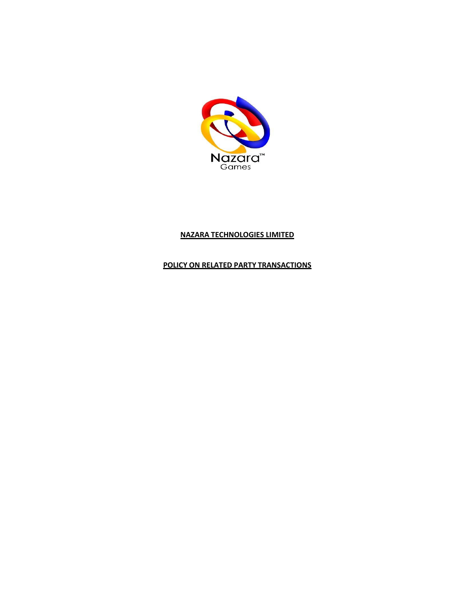

# **NAZARA TECHNOLOGIES LIMITED**

# **POLICY ON RELATED PARTY TRANSACTIONS**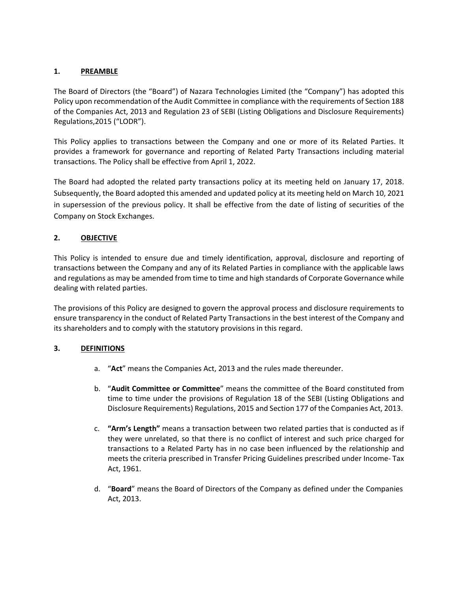### **1. PREAMBLE**

The Board of Directors (the "Board") of Nazara Technologies Limited (the "Company") has adopted this Policy upon recommendation of the Audit Committee in compliance with the requirements of Section 188 of the Companies Act, 2013 and Regulation 23 of SEBI (Listing Obligations and Disclosure Requirements) Regulations,2015 ("LODR").

This Policy applies to transactions between the Company and one or more of its Related Parties. It provides a framework for governance and reporting of Related Party Transactions including material transactions. The Policy shall be effective from April 1, 2022.

The Board had adopted the related party transactions policy at its meeting held on January 17, 2018. Subsequently, the Board adopted this amended and updated policy at its meeting held on March 10, 2021 in supersession of the previous policy. It shall be effective from the date of listing of securities of the Company on Stock Exchanges.

# **2. OBJECTIVE**

This Policy is intended to ensure due and timely identification, approval, disclosure and reporting of transactions between the Company and any of its Related Parties in compliance with the applicable laws and regulations as may be amended from time to time and high standards of Corporate Governance while dealing with related parties.

The provisions of this Policy are designed to govern the approval process and disclosure requirements to ensure transparency in the conduct of Related Party Transactions in the best interest of the Company and its shareholders and to comply with the statutory provisions in this regard.

#### **3. DEFINITIONS**

- a. "**Act**" means the Companies Act, 2013 and the rules made thereunder.
- b. "**Audit Committee or Committee**" means the committee of the Board constituted from time to time under the provisions of Regulation 18 of the SEBI (Listing Obligations and Disclosure Requirements) Regulations, 2015 and Section 177 of the Companies Act, 2013.
- c. **"Arm's Length"** means a transaction between two related parties that is conducted as if they were unrelated, so that there is no conflict of interest and such price charged for transactions to a Related Party has in no case been influenced by the relationship and meets the criteria prescribed in Transfer Pricing Guidelines prescribed under Income- Tax Act, 1961.
- d. "**Board**" means the Board of Directors of the Company as defined under the Companies Act, 2013.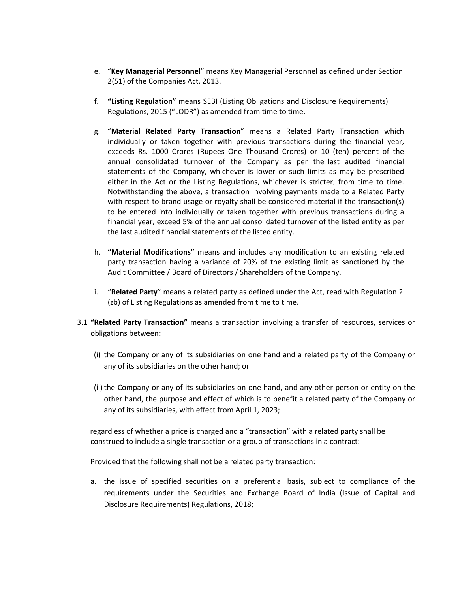- e. "**Key Managerial Personnel**" means Key Managerial Personnel as defined under Section 2(51) of the Companies Act, 2013.
- f. **"Listing Regulation"** means SEBI (Listing Obligations and Disclosure Requirements) Regulations, 2015 ("LODR") as amended from time to time.
- g. "**Material Related Party Transaction**" means a Related Party Transaction which individually or taken together with previous transactions during the financial year, exceeds Rs. 1000 Crores (Rupees One Thousand Crores) or 10 (ten) percent of the annual consolidated turnover of the Company as per the last audited financial statements of the Company, whichever is lower or such limits as may be prescribed either in the Act or the Listing Regulations, whichever is stricter, from time to time. Notwithstanding the above, a transaction involving payments made to a Related Party with respect to brand usage or royalty shall be considered material if the transaction(s) to be entered into individually or taken together with previous transactions during a financial year, exceed 5% of the annual consolidated turnover of the listed entity as per the last audited financial statements of the listed entity.
- h. **"Material Modifications"** means and includes any modification to an existing related party transaction having a variance of 20% of the existing limit as sanctioned by the Audit Committee / Board of Directors / Shareholders of the Company.
- i. "**Related Party**" means a related party as defined under the Act, read with Regulation 2 (zb) of Listing Regulations as amended from time to time.
- 3.1 **"Related Party Transaction"** means a transaction involving a transfer of resources, services or obligations between**:** 
	- (i) the Company or any of its subsidiaries on one hand and a related party of the Company or any of its subsidiaries on the other hand; or
	- (ii) the Company or any of its subsidiaries on one hand, and any other person or entity on the other hand, the purpose and effect of which is to benefit a related party of the Company or any of its subsidiaries, with effect from April 1, 2023;

regardless of whether a price is charged and a "transaction" with a related party shall be construed to include a single transaction or a group of transactions in a contract:

Provided that the following shall not be a related party transaction:

a. the issue of specified securities on a preferential basis, subject to compliance of the requirements under the Securities and Exchange Board of India (Issue of Capital and Disclosure Requirements) Regulations, 2018;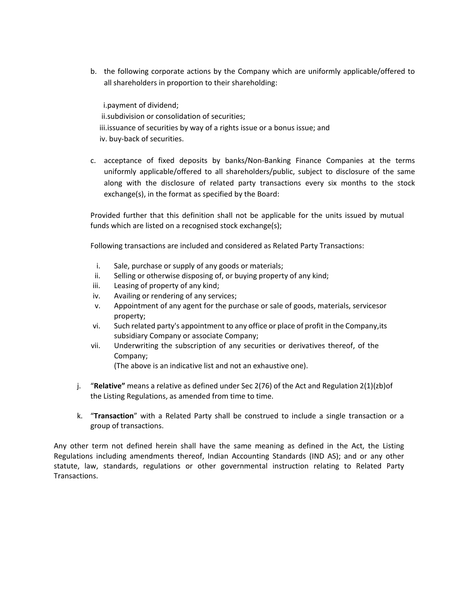b. the following corporate actions by the Company which are uniformly applicable/offered to all shareholders in proportion to their shareholding:

i.payment of dividend; ii.subdivision or consolidation of securities; iii.issuance of securities by way of a rights issue or a bonus issue; and iv. buy-back of securities.

c. acceptance of fixed deposits by banks/Non-Banking Finance Companies at the terms uniformly applicable/offered to all shareholders/public, subject to disclosure of the same along with the disclosure of related party transactions every six months to the stock exchange(s), in the format as specified by the Board:

Provided further that this definition shall not be applicable for the units issued by mutual funds which are listed on a recognised stock exchange(s);

Following transactions are included and considered as Related Party Transactions:

- i. Sale, purchase or supply of any goods or materials;
- ii. Selling or otherwise disposing of, or buying property of any kind;
- iii. Leasing of property of any kind;
- iv. Availing or rendering of any services;
- v. Appointment of any agent for the purchase or sale of goods, materials, servicesor property;
- vi. Such related party's appointment to any office or place of profit in the Company,its subsidiary Company or associate Company;
- vii. Underwriting the subscription of any securities or derivatives thereof, of the Company;

(The above is an indicative list and not an exhaustive one).

- j. "**Relative"** means a relative as defined under Sec 2(76) of the Act and Regulation 2(1)(zb)of the Listing Regulations, as amended from time to time.
- k. "**Transaction**" with a Related Party shall be construed to include a single transaction or a group of transactions.

Any other term not defined herein shall have the same meaning as defined in the Act, the Listing Regulations including amendments thereof, Indian Accounting Standards (IND AS); and or any other statute, law, standards, regulations or other governmental instruction relating to Related Party Transactions.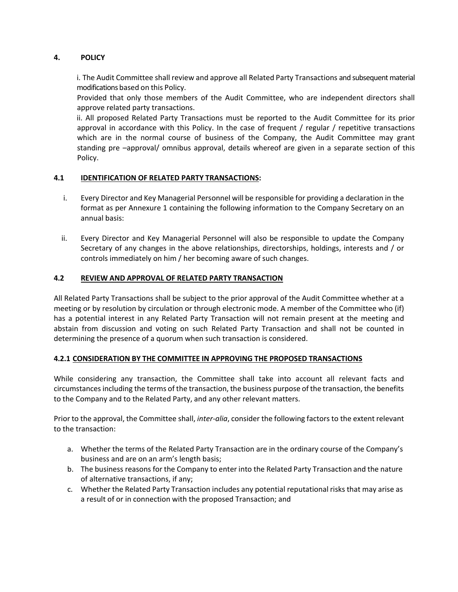# **4. POLICY**

i. The Audit Committee shall review and approve all Related Party Transactions and subsequent material modifications based on this Policy.

Provided that only those members of the Audit Committee, who are independent directors shall approve related party transactions.

ii. All proposed Related Party Transactions must be reported to the Audit Committee for its prior approval in accordance with this Policy. In the case of frequent / regular / repetitive transactions which are in the normal course of business of the Company, the Audit Committee may grant standing pre –approval/ omnibus approval, details whereof are given in a separate section of this Policy.

### **4.1 IDENTIFICATION OF RELATED PARTY TRANSACTIONS:**

- i. Every Director and Key Managerial Personnel will be responsible for providing a declaration in the format as per Annexure 1 containing the following information to the Company Secretary on an annual basis:
- ii. Every Director and Key Managerial Personnel will also be responsible to update the Company Secretary of any changes in the above relationships, directorships, holdings, interests and / or controls immediately on him / her becoming aware of such changes.

### **4.2 REVIEW AND APPROVAL OF RELATED PARTY TRANSACTION**

All Related Party Transactions shall be subject to the prior approval of the Audit Committee whether at a meeting or by resolution by circulation or through electronic mode. A member of the Committee who (if) has a potential interest in any Related Party Transaction will not remain present at the meeting and abstain from discussion and voting on such Related Party Transaction and shall not be counted in determining the presence of a quorum when such transaction is considered.

#### **4.2.1 CONSIDERATION BY THE COMMITTEE IN APPROVING THE PROPOSED TRANSACTIONS**

While considering any transaction, the Committee shall take into account all relevant facts and circumstancesincluding the terms of the transaction, the business purpose of the transaction, the benefits to the Company and to the Related Party, and any other relevant matters.

Prior to the approval, the Committee shall, *inter-alia*, consider the following factors to the extent relevant to the transaction:

- a. Whether the terms of the Related Party Transaction are in the ordinary course of the Company's business and are on an arm's length basis;
- b. The business reasons for the Company to enter into the Related Party Transaction and the nature of alternative transactions, if any;
- c. Whether the Related Party Transaction includes any potential reputational risks that may arise as a result of or in connection with the proposed Transaction; and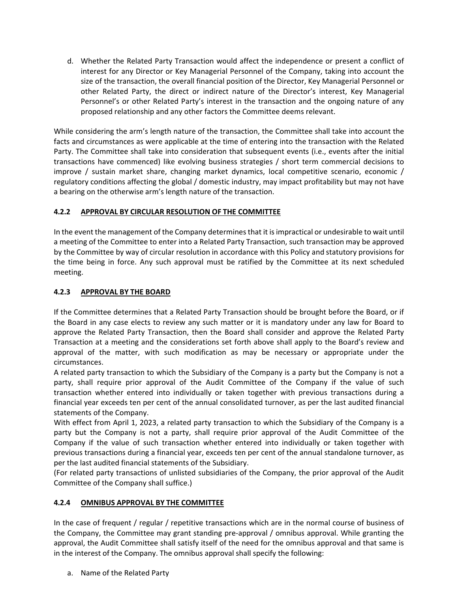d. Whether the Related Party Transaction would affect the independence or present a conflict of interest for any Director or Key Managerial Personnel of the Company, taking into account the size of the transaction, the overall financial position of the Director, Key Managerial Personnel or other Related Party, the direct or indirect nature of the Director's interest, Key Managerial Personnel's or other Related Party's interest in the transaction and the ongoing nature of any proposed relationship and any other factors the Committee deems relevant.

While considering the arm's length nature of the transaction, the Committee shall take into account the facts and circumstances as were applicable at the time of entering into the transaction with the Related Party. The Committee shall take into consideration that subsequent events (i.e., events after the initial transactions have commenced) like evolving business strategies / short term commercial decisions to improve / sustain market share, changing market dynamics, local competitive scenario, economic / regulatory conditions affecting the global / domestic industry, may impact profitability but may not have a bearing on the otherwise arm's length nature of the transaction.

# **4.2.2 APPROVAL BY CIRCULAR RESOLUTION OF THE COMMITTEE**

In the event the management of the Company determines that it is impractical or undesirable to wait until a meeting of the Committee to enter into a Related Party Transaction, such transaction may be approved by the Committee by way of circular resolution in accordance with this Policy and statutory provisions for the time being in force. Any such approval must be ratified by the Committee at its next scheduled meeting.

### **4.2.3 APPROVAL BY THE BOARD**

If the Committee determines that a Related Party Transaction should be brought before the Board, or if the Board in any case elects to review any such matter or it is mandatory under any law for Board to approve the Related Party Transaction, then the Board shall consider and approve the Related Party Transaction at a meeting and the considerations set forth above shall apply to the Board's review and approval of the matter, with such modification as may be necessary or appropriate under the circumstances.

A related party transaction to which the Subsidiary of the Company is a party but the Company is not a party, shall require prior approval of the Audit Committee of the Company if the value of such transaction whether entered into individually or taken together with previous transactions during a financial year exceeds ten per cent of the annual consolidated turnover, as per the last audited financial statements of the Company.

With effect from April 1, 2023, a related party transaction to which the Subsidiary of the Company is a party but the Company is not a party, shall require prior approval of the Audit Committee of the Company if the value of such transaction whether entered into individually or taken together with previous transactions during a financial year, exceeds ten per cent of the annual standalone turnover, as per the last audited financial statements of the Subsidiary.

(For related party transactions of unlisted subsidiaries of the Company, the prior approval of the Audit Committee of the Company shall suffice.)

# **4.2.4 OMNIBUS APPROVAL BY THE COMMITTEE**

In the case of frequent / regular / repetitive transactions which are in the normal course of business of the Company, the Committee may grant standing pre-approval / omnibus approval. While granting the approval, the Audit Committee shall satisfy itself of the need for the omnibus approval and that same is in the interest of the Company. The omnibus approval shall specify the following:

a. Name of the Related Party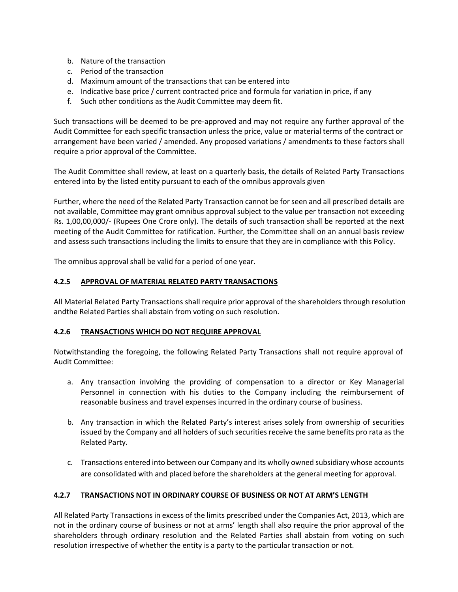- b. Nature of the transaction
- c. Period of the transaction
- d. Maximum amount of the transactions that can be entered into
- e. Indicative base price / current contracted price and formula for variation in price, if any
- f. Such other conditions as the Audit Committee may deem fit.

Such transactions will be deemed to be pre-approved and may not require any further approval of the Audit Committee for each specific transaction unless the price, value or material terms of the contract or arrangement have been varied / amended. Any proposed variations / amendments to these factors shall require a prior approval of the Committee.

The Audit Committee shall review, at least on a quarterly basis, the details of Related Party Transactions entered into by the listed entity pursuant to each of the omnibus approvals given

Further, where the need of the Related Party Transaction cannot be for seen and all prescribed details are not available, Committee may grant omnibus approval subject to the value per transaction not exceeding Rs. 1,00,00,000/- (Rupees One Crore only). The details of such transaction shall be reported at the next meeting of the Audit Committee for ratification. Further, the Committee shall on an annual basis review and assess such transactions including the limits to ensure that they are in compliance with this Policy.

The omnibus approval shall be valid for a period of one year.

# **4.2.5 APPROVAL OF MATERIAL RELATED PARTY TRANSACTIONS**

All Material Related Party Transactions shall require prior approval of the shareholders through resolution andthe Related Parties shall abstain from voting on such resolution.

# **4.2.6 TRANSACTIONS WHICH DO NOT REQUIRE APPROVAL**

Notwithstanding the foregoing, the following Related Party Transactions shall not require approval of Audit Committee:

- a. Any transaction involving the providing of compensation to a director or Key Managerial Personnel in connection with his duties to the Company including the reimbursement of reasonable business and travel expenses incurred in the ordinary course of business.
- b. Any transaction in which the Related Party's interest arises solely from ownership of securities issued by the Company and all holders of such securities receive the same benefits pro rata as the Related Party.
- c. Transactions entered into between our Company and its wholly owned subsidiary whose accounts are consolidated with and placed before the shareholders at the general meeting for approval.

# **4.2.7 TRANSACTIONS NOT IN ORDINARY COURSE OF BUSINESS OR NOT AT ARM'S LENGTH**

All Related Party Transactions in excess of the limits prescribed under the Companies Act, 2013, which are not in the ordinary course of business or not at arms' length shall also require the prior approval of the shareholders through ordinary resolution and the Related Parties shall abstain from voting on such resolution irrespective of whether the entity is a party to the particular transaction or not.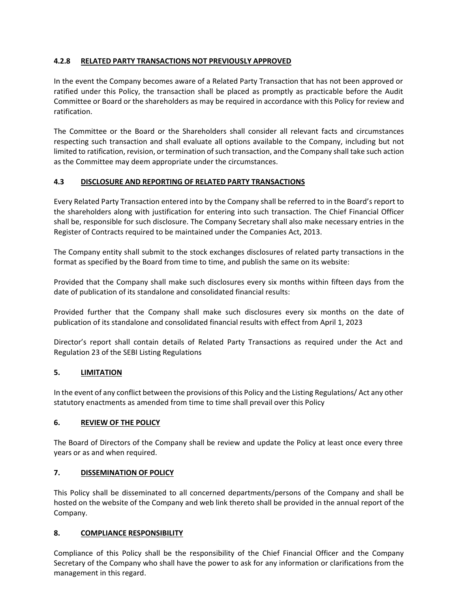# **4.2.8 RELATED PARTY TRANSACTIONS NOT PREVIOUSLY APPROVED**

In the event the Company becomes aware of a Related Party Transaction that has not been approved or ratified under this Policy, the transaction shall be placed as promptly as practicable before the Audit Committee or Board or the shareholders as may be required in accordance with this Policy for review and ratification.

The Committee or the Board or the Shareholders shall consider all relevant facts and circumstances respecting such transaction and shall evaluate all options available to the Company, including but not limited to ratification, revision, or termination of such transaction, and the Company shall take such action as the Committee may deem appropriate under the circumstances.

### **4.3 DISCLOSURE AND REPORTING OF RELATED PARTY TRANSACTIONS**

Every Related Party Transaction entered into by the Company shall be referred to in the Board's report to the shareholders along with justification for entering into such transaction. The Chief Financial Officer shall be, responsible for such disclosure. The Company Secretary shall also make necessary entries in the Register of Contracts required to be maintained under the Companies Act, 2013.

The Company entity shall submit to the stock exchanges disclosures of related party transactions in the format as specified by the Board from time to time, and publish the same on its website:

Provided that the Company shall make such disclosures every six months within fifteen days from the date of publication of its standalone and consolidated financial results:

Provided further that the Company shall make such disclosures every six months on the date of publication of its standalone and consolidated financial results with effect from April 1, 2023

Director's report shall contain details of Related Party Transactions as required under the Act and Regulation 23 of the SEBI Listing Regulations

#### **5. LIMITATION**

In the event of any conflict between the provisions of this Policy and the Listing Regulations/ Act any other statutory enactments as amended from time to time shall prevail over this Policy

#### **6. REVIEW OF THE POLICY**

The Board of Directors of the Company shall be review and update the Policy at least once every three years or as and when required.

### **7. DISSEMINATION OF POLICY**

This Policy shall be disseminated to all concerned departments/persons of the Company and shall be hosted on the website of the Company and web link thereto shall be provided in the annual report of the Company.

#### **8. COMPLIANCE RESPONSIBILITY**

Compliance of this Policy shall be the responsibility of the Chief Financial Officer and the Company Secretary of the Company who shall have the power to ask for any information or clarifications from the management in this regard.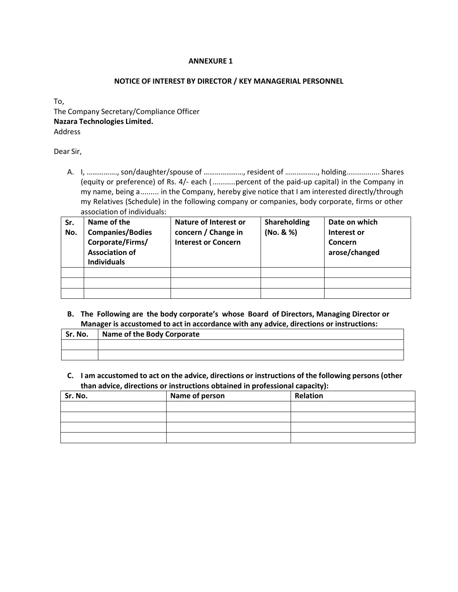#### **ANNEXURE 1**

#### **NOTICE OF INTEREST BY DIRECTOR / KEY MANAGERIAL PERSONNEL**

To, The Company Secretary/Compliance Officer **Nazara Technologies Limited.** Address

Dear Sir,

A. I, ……………., son/daughter/spouse of …………………, resident of …………….., holding................ Shares (equity or preference) of Rs. 4/- each (...........percent of the paid-up capital) in the Company in my name, being a......... in the Company, hereby give notice that I am interested directly/through my Relatives (Schedule) in the following company or companies, body corporate, firms or other association of individuals:

| Sr.<br>No. | Name of the<br><b>Companies/Bodies</b><br>Corporate/Firms/<br><b>Association of</b><br><b>Individuals</b> | Nature of Interest or<br>concern / Change in<br><b>Interest or Concern</b> | Shareholding<br>(No. 8 %) | Date on which<br>Interest or<br>Concern<br>arose/changed |
|------------|-----------------------------------------------------------------------------------------------------------|----------------------------------------------------------------------------|---------------------------|----------------------------------------------------------|
|            |                                                                                                           |                                                                            |                           |                                                          |
|            |                                                                                                           |                                                                            |                           |                                                          |
|            |                                                                                                           |                                                                            |                           |                                                          |

**B. The Following are the body corporate's whose Board of Directors, Managing Director or Manager is accustomed to act in accordance with any advice, directions or instructions:**

| Sr. No. | Name of the Body Corporate |
|---------|----------------------------|
|         |                            |
|         |                            |

**C. I am accustomed to act on the advice, directions or instructions of the following persons (other than advice, directions or instructions obtained in professional capacity):**

| Sr. No. | Name of person | <b>Relation</b> |
|---------|----------------|-----------------|
|         |                |                 |
|         |                |                 |
|         |                |                 |
|         |                |                 |